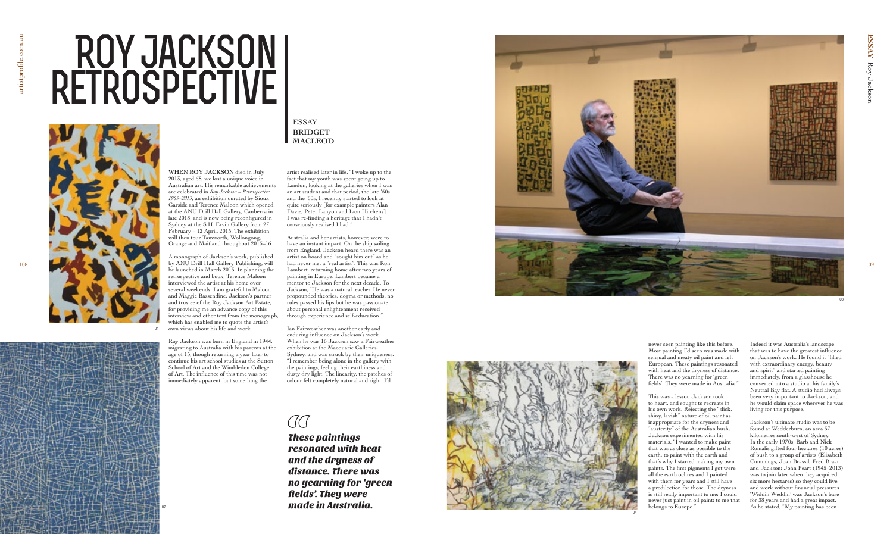**ESSAY** 

**WHEN ROY JACKSON** died in July 2013, aged 68, we lost a unique voice in Australian art. His remarkable achievements are celebrated in *Roy Jackson – Retrospective 1963–2013*, an exhibition curated by Sioux Garside and Terence Maloon which opened at the ANU Drill Hall Gallery, Canberra in late 2013, and is now being reconfigured in Sydney at the S.H. Ervin Gallery from 27 February – 12 April, 2015. The exhibition will then tour Tamworth, Wollongong, Orange and Maitland throughout 2015–16.

A monograph of Jackson's work, published by ANU Drill Hall Gallery Publishing, will be launched in March 2015. In planning the retrospective and book, Terence Maloon interviewed the artist at his home over several weekends. I am grateful to Maloon and Maggie Bassendine, Jackson's partner and trustee of the Roy Jackson Art Estate, for providing me an advance copy of this interview and other text from the monograph, which has enabled me to quote the artist's own views about his life and work.

Roy Jackson was born in England in 1944, migrating to Australia with his parents at the age of 15, though returning a year later to continue his art school studies at the Sutton School of Art and the Wimbledon College of Art. The influence of this time was not immediately apparent, but something the





artist realised later in life. "I woke up to the fact that my youth was spent going up to London, looking at the galleries when I was an art student and that period, the late '50s and the '60s, I recently started to look at quite seriously [for example painters Alan Davie, Peter Lanyon and Ivon Hitchens]. I was re-finding a heritage that I hadn't consciously realised I had."

Australia and her artists, however, were to have an instant impact. On the ship sailing from England, Jackson heard there was an artist on board and "sought him out" as he had never met a "real artist". This was Ron Lambert, returning home after two years of painting in Europe. Lambert became a mentor to Jackson for the next decade. To Jackson, "He was a natural teacher. He never propounded theories, dogma or methods, no rules passed his lips but he was passionate about personal enlightenment received through experience and self-education."

Ian Fairweather was another early and enduring influence on Jackson's work. When he was 16 Jackson saw a Fairweather exhibition at the Macquarie Galleries, Sydney, and was struck by their uniqueness. "I remember being alone in the gallery with the paintings, feeling their earthiness and dusty dry light. The linearity, the patches of colour felt completely natural and right. I'd





02

# **Roy Jackson retrospective**

# ESSAY **BRIDGET MACLEOD**

These paintings resonated with heat and the dryness of distance. There was no yearning for 'green fields'. They were made in Australia.

never seen painting like this before. Most painting I'd seen was made with sensual and meaty oil paint and felt European. These paintings resonated with heat and the dryness of distance. There was no yearning for 'green fields'. They were made in Australia."

This was a lesson Jackson took to heart, and sought to recreate in his own work. Rejecting the "slick, shiny, lavish" nature of oil paint as inappropriate for the dryness and "austerity" of the Australian bush, Jackson experimented with his materials. "I wanted to make paint that was as close as possible to the earth, to paint with the earth and that's why I started making my own paints. The first pigments I got were all the earth ochres and I painted with them for years and I still have a predilection for those. The dryness is still really important to me; I could never just paint in oil paint; to me that belongs to Europe."

Indeed it was Australia's landscape that was to have the greatest influence on Jackson's work. He found it "filled with extraordinary energy, beauty and spirit" and started painting immediately, from a glasshouse he converted into a studio at his family's Neutral Bay flat. A studio had always been very important to Jackson, and he would claim space wherever he was living for this purpose.

Jackson's ultimate studio was to be found at Wedderburn, an area 57 kilometres south-west of Sydney. In the early 1970s, Barb and Nick Romalis gifted four hectares (10 acres) of bush to a group of artists (Elisabeth Cummings, Joan Brassil, Fred Braat and Jackson; John Peart (1945–2013) was to join later when they acquired six more hectares) so they could live and work without financial pressures. 'Widdin Weddin' was Jackson's base for 38 years and had a great impact. As he stated, "My painting has been